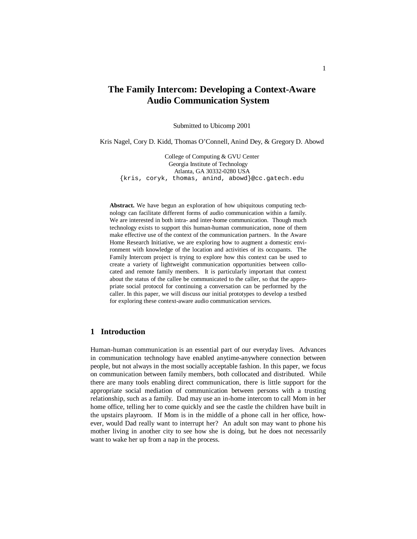# **The Family Intercom: Developing a Context-Aware Audio Communication System**

Submitted to Ubicomp 2001

Kris Nagel, Cory D. Kidd, Thomas O'Connell, Anind Dey, & Gregory D. Abowd

College of Computing & GVU Center Georgia Institute of Technology Atlanta, GA 30332-0280 USA {kris, coryk, thomas, anind, abowd}@cc.gatech.edu

**Abstract.** We have begun an exploration of how ubiquitous computing technology can facilitate different forms of audio communication within a family. We are interested in both intra- and inter-home communication. Though much technology exists to support this human-human communication, none of them make effective use of the context of the communication partners. In the Aware Home Research Initiative, we are exploring how to augment a domestic environment with knowledge of the location and activities of its occupants. The Family Intercom project is trying to explore how this context can be used to create a variety of lightweight communication opportunities between collocated and remote family members. It is particularly important that context about the status of the callee be communicated to the caller, so that the appropriate social protocol for continuing a conversation can be performed by the caller. In this paper, we will discuss our initial prototypes to develop a testbed for exploring these context-aware audio communication services.

# **1 Introduction**

Human-human communication is an essential part of our everyday lives. Advances in communication technology have enabled anytime-anywhere connection between people, but not always in the most socially acceptable fashion. In this paper, we focus on communication between family members, both collocated and distributed. While there are many tools enabling direct communication, there is little support for the appropriate social mediation of communication between persons with a trusting relationship, such as a family. Dad may use an in-home intercom to call Mom in her home office, telling her to come quickly and see the castle the children have built in the upstairs playroom. If Mom is in the middle of a phone call in her office, however, would Dad really want to interrupt her? An adult son may want to phone his mother living in another city to see how she is doing, but he does not necessarily want to wake her up from a nap in the process.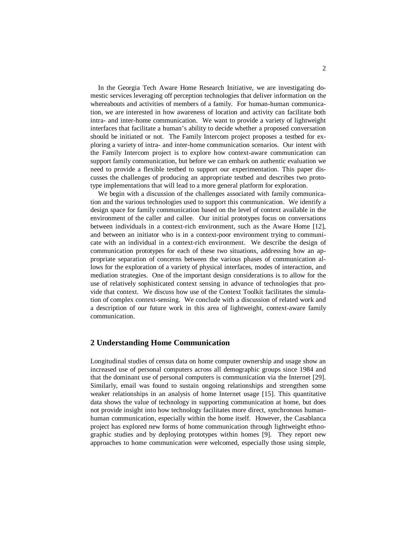In the Georgia Tech Aware Home Research Initiative, we are investigating domestic services leveraging off perception technologies that deliver information on the whereabouts and activities of members of a family. For human-human communication, we are interested in how awareness of location and activity can facilitate both intra- and inter-home communication. We want to provide a variety of lightweight interfaces that facilitate a human's ability to decide whether a proposed conversation should be initiated or not. The Family Intercom project proposes a testbed for exploring a variety of intra- and inter-home communication scenarios. Our intent with the Family Intercom project is to explore how context-aware communication can support family communication, but before we can embark on authentic evaluation we need to provide a flexible testbed to support our experimentation. This paper discusses the challenges of producing an appropriate testbed and describes two prototype implementations that will lead to a more general platform for exploration.

We begin with a discussion of the challenges associated with family communication and the various technologies used to support this communication. We identify a design space for family communication based on the level of context available in the environment of the caller and callee. Our initial prototypes focus on conversations between individuals in a context-rich environment, such as the Aware Home [12], and between an initiator who is in a context-poor environment trying to communicate with an individual in a context-rich environment. We describe the design of communication prototypes for each of these two situations, addressing how an appropriate separation of concerns between the various phases of communication allows for the exploration of a variety of physical interfaces, modes of interaction, and mediation strategies. One of the important design considerations is to allow for the use of relatively sophisticated context sensing in advance of technologies that provide that context. We discuss how use of the Context Toolkit facilitates the simulation of complex context-sensing. We conclude with a discussion of related work and a description of our future work in this area of lightweight, context-aware family communication.

### **2 Understanding Home Communication**

Longitudinal studies of census data on home computer ownership and usage show an increased use of personal computers across all demographic groups since 1984 and that the dominant use of personal computers is communication via the Internet [29]. Similarly, email was found to sustain ongoing relationships and strengthen some weaker relationships in an analysis of home Internet usage [15]. This quantitative data shows the value of technology in supporting communication at home, but does not provide insight into how technology facilitates more direct, synchronous humanhuman communication, especially within the home itself. However, the Casablanca project has explored new forms of home communication through lightweight ethnographic studies and by deploying prototypes within homes [9]. They report new approaches to home communication were welcomed, especially those using simple,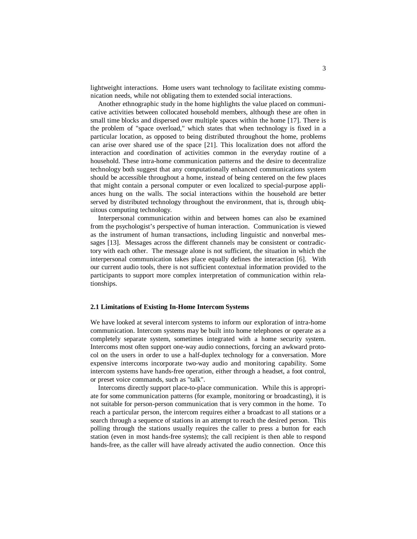lightweight interactions. Home users want technology to facilitate existing communication needs, while not obligating them to extended social interactions.

Another ethnographic study in the home highlights the value placed on communicative activities between collocated household members, although these are often in small time blocks and dispersed over multiple spaces within the home [17]. There is the problem of "space overload," which states that when technology is fixed in a particular location, as opposed to being distributed throughout the home, problems can arise over shared use of the space [21]. This localization does not afford the interaction and coordination of activities common in the everyday routine of a household. These intra-home communication patterns and the desire to decentralize technology both suggest that any computationally enhanced communications system should be accessible throughout a home, instead of being centered on the few places that might contain a personal computer or even localized to special-purpose appliances hung on the walls. The social interactions within the household are better served by distributed technology throughout the environment, that is, through ubiquitous computing technology.

Interpersonal communication within and between homes can also be examined from the psychologist's perspective of human interaction. Communication is viewed as the instrument of human transactions, including linguistic and nonverbal messages [13]. Messages across the different channels may be consistent or contradictory with each other. The message alone is not sufficient, the situation in which the interpersonal communication takes place equally defines the interaction [6]. With our current audio tools, there is not sufficient contextual information provided to the participants to support more complex interpretation of communication within relationships.

### **2.1 Limitations of Existing In-Home Intercom Systems**

We have looked at several intercom systems to inform our exploration of intra-home communication. Intercom systems may be built into home telephones or operate as a completely separate system, sometimes integrated with a home security system. Intercoms most often support one-way audio connections, forcing an awkward protocol on the users in order to use a half-duplex technology for a conversation. More expensive intercoms incorporate two-way audio and monitoring capability. Some intercom systems have hands-free operation, either through a headset, a foot control, or preset voice commands, such as "talk".

Intercoms directly support place-to-place communication. While this is appropriate for some communication patterns (for example, monitoring or broadcasting), it is not suitable for person-person communication that is very common in the home. To reach a particular person, the intercom requires either a broadcast to all stations or a search through a sequence of stations in an attempt to reach the desired person. This polling through the stations usually requires the caller to press a button for each station (even in most hands-free systems); the call recipient is then able to respond hands-free, as the caller will have already activated the audio connection. Once this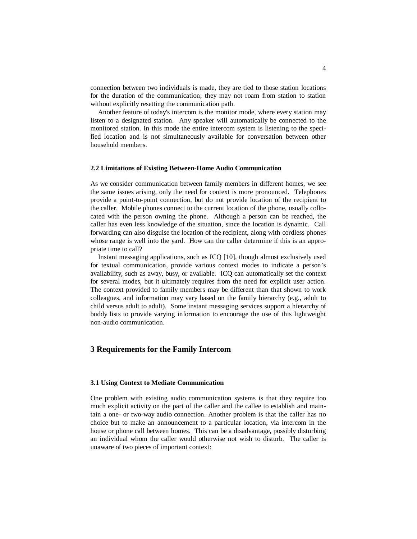connection between two individuals is made, they are tied to those station locations for the duration of the communication; they may not roam from station to station without explicitly resetting the communication path.

Another feature of today's intercom is the monitor mode, where every station may listen to a designated station. Any speaker will automatically be connected to the monitored station. In this mode the entire intercom system is listening to the specified location and is not simultaneously available for conversation between other household members.

### **2.2 Limitations of Existing Between-Home Audio Communication**

As we consider communication between family members in different homes, we see the same issues arising, only the need for context is more pronounced. Telephones provide a point-to-point connection, but do not provide location of the recipient to the caller. Mobile phones connect to the current location of the phone, usually collocated with the person owning the phone. Although a person can be reached, the caller has even less knowledge of the situation, since the location is dynamic. Call forwarding can also disguise the location of the recipient, along with cordless phones whose range is well into the yard. How can the caller determine if this is an appropriate time to call?

Instant messaging applications, such as ICQ [10], though almost exclusively used for textual communication, provide various context modes to indicate a person's availability, such as away, busy, or available. ICQ can automatically set the context for several modes, but it ultimately requires from the need for explicit user action. The context provided to family members may be different than that shown to work colleagues, and information may vary based on the family hierarchy (e.g., adult to child versus adult to adult). Some instant messaging services support a hierarchy of buddy lists to provide varying information to encourage the use of this lightweight non-audio communication.

### **3 Requirements for the Family Intercom**

### **3.1 Using Context to Mediate Communication**

One problem with existing audio communication systems is that they require too much explicit activity on the part of the caller and the callee to establish and maintain a one- or two-way audio connection. Another problem is that the caller has no choice but to make an announcement to a particular location, via intercom in the house or phone call between homes. This can be a disadvantage, possibly disturbing an individual whom the caller would otherwise not wish to disturb. The caller is unaware of two pieces of important context: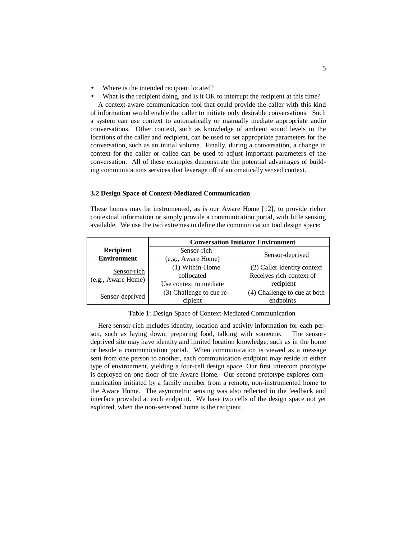- Where is the intended recipient located?
- What is the recipient doing, and is it OK to interrupt the recipient at this time?

A context-aware communication tool that could provide the caller with this kind of information would enable the caller to initiate only desirable conversations. Such a system can use context to automatically or manually mediate appropriate audio conversations. Other context, such as knowledge of ambient sound levels in the locations of the caller and recipient, can be used to set appropriate parameters for the conversation, such as an initial volume. Finally, during a conversation, a change in context for the caller or callee can be used to adjust important parameters of the conversation. All of these examples demonstrate the potential advantages of building communications services that leverage off of automatically sensed context.

### **3.2 Design Space of Context-Mediated Communication**

These homes may be instrumented, as is our Aware Home [12], to provide richer contextual information or simply provide a communication portal, with little sensing available. We use the two extremes to define the communication tool design space:

|                                   | <b>Conversation Initiator Environment</b> |                              |
|-----------------------------------|-------------------------------------------|------------------------------|
| Recipient                         | Sensor-rich                               |                              |
| <b>Environment</b>                | (e.g., Aware Home)                        | Sensor-deprived              |
| Sensor-rich<br>(e.g., Aware Home) | (1) Within-Home                           | (2) Caller identity context  |
|                                   | collocated                                | Receives rich context of     |
|                                   | Use context to mediate                    | recipient                    |
| Sensor-deprived                   | (3) Challenge to cue re-                  | (4) Challenge to cue at both |
|                                   | cipient                                   | endpoints                    |

Table 1: Design Space of Context-Mediated Communication

Here sensor-rich includes identity, location and activity information for each person, such as laying down, preparing food, talking with someone. The sensordeprived site may have identity and limited location knowledge, such as in the home or beside a communication portal. When communication is viewed as a message sent from one person to another, each communication endpoint may reside in either type of environment, yielding a four-cell design space. Our first intercom prototype is deployed on one floor of the Aware Home. Our second prototype explores communication initiated by a family member from a remote, non-instrumented home to the Aware Home. The asymmetric sensing was also reflected in the feedback and interface provided at each endpoint. We have two cells of the design space not yet explored, when the non-sensored home is the recipient.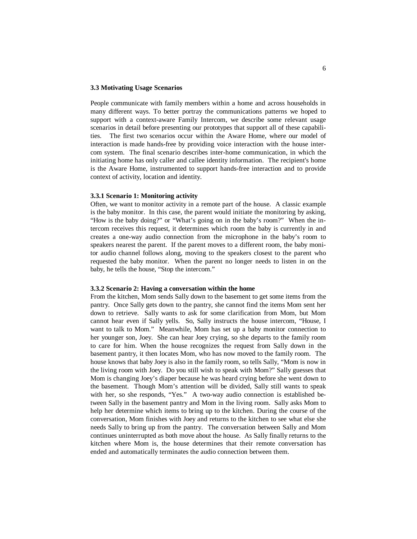### **3.3 Motivating Usage Scenarios**

People communicate with family members within a home and across households in many different ways. To better portray the communications patterns we hoped to support with a context-aware Family Intercom, we describe some relevant usage scenarios in detail before presenting our prototypes that support all of these capabilities. The first two scenarios occur within the Aware Home, where our model of interaction is made hands-free by providing voice interaction with the house intercom system. The final scenario describes inter-home communication, in which the initiating home has only caller and callee identity information. The recipient's home is the Aware Home, instrumented to support hands-free interaction and to provide context of activity, location and identity.

#### **3.3.1 Scenario 1: Monitoring activity**

Often, we want to monitor activity in a remote part of the house. A classic example is the baby monitor. In this case, the parent would initiate the monitoring by asking, "How is the baby doing?" or "What's going on in the baby's room?" When the intercom receives this request, it determines which room the baby is currently in and creates a one-way audio connection from the microphone in the baby's room to speakers nearest the parent. If the parent moves to a different room, the baby monitor audio channel follows along, moving to the speakers closest to the parent who requested the baby monitor. When the parent no longer needs to listen in on the baby, he tells the house, "Stop the intercom."

### **3.3.2 Scenario 2: Having a conversation within the home**

From the kitchen, Mom sends Sally down to the basement to get some items from the pantry. Once Sally gets down to the pantry, she cannot find the items Mom sent her down to retrieve. Sally wants to ask for some clarification from Mom, but Mom cannot hear even if Sally yells. So, Sally instructs the house intercom, "House, I want to talk to Mom." Meanwhile, Mom has set up a baby monitor connection to her younger son, Joey. She can hear Joey crying, so she departs to the family room to care for him. When the house recognizes the request from Sally down in the basement pantry, it then locates Mom, who has now moved to the family room. The house knows that baby Joey is also in the family room, so tells Sally, "Mom is now in the living room with Joey. Do you still wish to speak with Mom?" Sally guesses that Mom is changing Joey's diaper because he was heard crying before she went down to the basement. Though Mom's attention will be divided, Sally still wants to speak with her, so she responds, "Yes." A two-way audio connection is established between Sally in the basement pantry and Mom in the living room. Sally asks Mom to help her determine which items to bring up to the kitchen. During the course of the conversation, Mom finishes with Joey and returns to the kitchen to see what else she needs Sally to bring up from the pantry. The conversation between Sally and Mom continues uninterrupted as both move about the house. As Sally finally returns to the kitchen where Mom is, the house determines that their remote conversation has ended and automatically terminates the audio connection between them.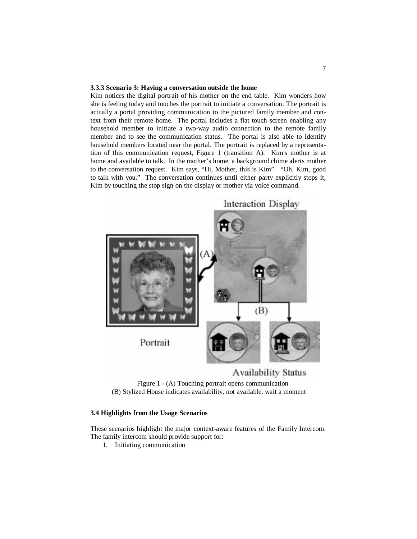### **3.3.3 Scenario 3: Having a conversation outside the home**

Kim notices the digital portrait of his mother on the end table. Kim wonders how she is feeling today and touches the portrait to initiate a conversation. The portrait is actually a portal providing communication to the pictured family member and context from their remote home. The portal includes a flat touch screen enabling any household member to initiate a two-way audio connection to the remote family member and to see the communication status. The portal is also able to identify household members located near the portal. The portrait is replaced by a representation of this communication request, Figure 1 (transition A). Kim's mother is at home and available to talk. In the mother's home, a background chime alerts mother to the conversation request. Kim says, "Hi, Mother, this is Kim". "Oh, Kim, good to talk with you." The conversation continues until either party explicitly stops it, Kim by touching the stop sign on the display or mother via voice command.



Figure 1 - (A) Touching portrait opens communication (B) Stylized House indicates availability, not available, wait a moment

### **3.4 Highlights from the Usage Scenarios**

These scenarios highlight the major context-aware features of the Family Intercom. The family intercom should provide support for:

1. Initiating communication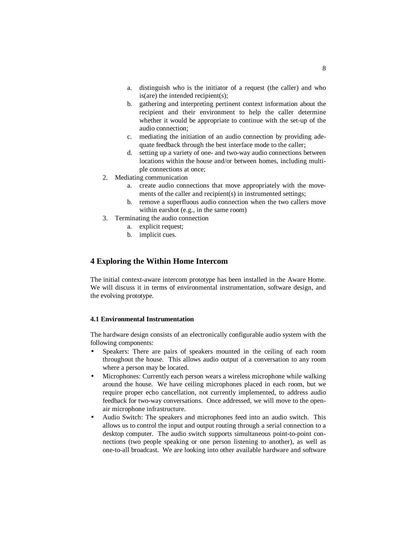- a. distinguish who is the initiator of a request (the caller) and who is(are) the intended recipient(s);
- b. gathering and interpreting pertinent context information about the recipient and their environment to help the caller determine whether it would be appropriate to continue with the set-up of the audio connection;
- c. mediating the initiation of an audio connection by providing adequate feedback through the best interface mode to the caller;
- d. setting up a variety of one- and two-way audio connections between locations within the house and/or between homes, including multiple connections at once;
- 2. Mediating communication
	- a. create audio connections that move appropriately with the movements of the caller and recipient(s) in instrumented settings;
	- b. remove a superfluous audio connection when the two callers move within earshot (e.g., in the same room)
- 3. Terminating the audio connection
	- a. explicit request;
	- b. implicit cues.

# **4 Exploring the Within Home Intercom**

The initial context-aware intercom prototype has been installed in the Aware Home. We will discuss it in terms of environmental instrumentation, software design, and the evolving prototype.

# **4.1 Environmental Instrumentation**

The hardware design consists of an electronically configurable audio system with the following components:

- Speakers: There are pairs of speakers mounted in the ceiling of each room throughout the house. This allows audio output of a conversation to any room where a person may be located.
- Microphones: Currently each person wears a wireless microphone while walking around the house. We have ceiling microphones placed in each room, but we require proper echo cancellation, not currently implemented, to address audio feedback for two-way conversations. Once addressed, we will move to the openair microphone infrastructure.
- Audio Switch: The speakers and microphones feed into an audio switch. This allows us to control the input and output routing through a serial connection to a desktop computer. The audio switch supports simultaneous point-to-point connections (two people speaking or one person listening to another), as well as one-to-all broadcast. We are looking into other available hardware and software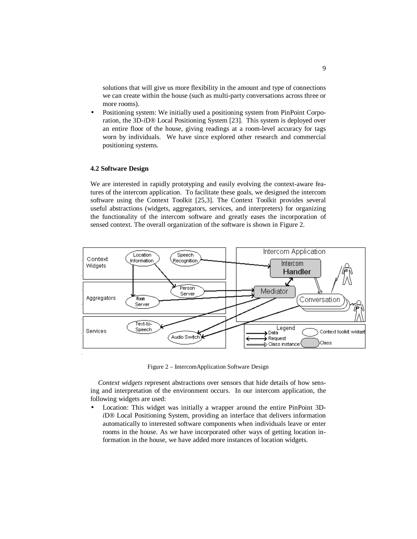solutions that will give us more flexibility in the amount and type of connections we can create within the house (such as multi-party conversations across three or more rooms).

• Positioning system: We initially used a positioning system from PinPoint Corporation, the 3D-*i*D® Local Positioning System [23]. This system is deployed over an entire floor of the house, giving readings at a room-level accuracy for tags worn by individuals. We have since explored other research and commercial positioning systems.

### **4.2 Software Design**

We are interested in rapidly prototyping and easily evolving the context-aware features of the intercom application. To facilitate these goals, we designed the intercom software using the Context Toolkit [25,3]. The Context Toolkit provides several useful abstractions (widgets, aggregators, services, and interpreters) for organizing the functionality of the intercom software and greatly eases the incorporation of sensed context. The overall organization of the software is shown in Figure 2.



Figure 2 – IntercomApplication Software Design

*Context widgets* represent abstractions over sensors that hide details of how sensing and interpretation of the environment occurs. In our intercom application, the following widgets are used:

• Location: This widget was initially a wrapper around the entire PinPoint 3D*i*D® Local Positioning System, providing an interface that delivers information automatically to interested software components when individuals leave or enter rooms in the house. As we have incorporated other ways of getting location information in the house, we have added more instances of location widgets.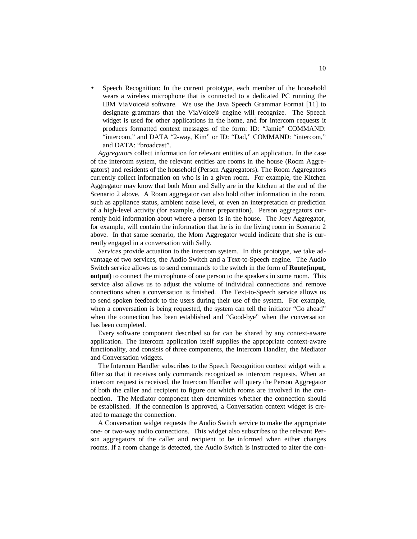• Speech Recognition: In the current prototype, each member of the household wears a wireless microphone that is connected to a dedicated PC running the IBM ViaVoice® software. We use the Java Speech Grammar Format [11] to designate grammars that the ViaVoice® engine will recognize. The Speech widget is used for other applications in the home, and for intercom requests it produces formatted context messages of the form: ID: "Jamie" COMMAND: "intercom," and DATA "2-way, Kim" or ID: "Dad," COMMAND: "intercom," and DATA: "broadcast".

*Aggregators* collect information for relevant entities of an application. In the case of the intercom system, the relevant entities are rooms in the house (Room Aggregators) and residents of the household (Person Aggregators). The Room Aggregators currently collect information on who is in a given room. For example, the Kitchen Aggregator may know that both Mom and Sally are in the kitchen at the end of the Scenario 2 above. A Room aggregator can also hold other information in the room, such as appliance status, ambient noise level, or even an interpretation or prediction of a high-level activity (for example, dinner preparation). Person aggregators currently hold information about where a person is in the house. The Joey Aggregator, for example, will contain the information that he is in the living room in Scenario 2 above. In that same scenario, the Mom Aggregator would indicate that she is currently engaged in a conversation with Sally.

*Services* provide actuation to the intercom system. In this prototype, we take advantage of two services, the Audio Switch and a Text-to-Speech engine. The Audio Switch service allows us to send commands to the switch in the form of **Route(input, output)** to connect the microphone of one person to the speakers in some room. This service also allows us to adjust the volume of individual connections and remove connections when a conversation is finished. The Text-to-Speech service allows us to send spoken feedback to the users during their use of the system. For example, when a conversation is being requested, the system can tell the initiator "Go ahead" when the connection has been established and "Good-bye" when the conversation has been completed.

Every software component described so far can be shared by any context-aware application. The intercom application itself supplies the appropriate context-aware functionality, and consists of three components, the Intercom Handler, the Mediator and Conversation widgets.

The Intercom Handler subscribes to the Speech Recognition context widget with a filter so that it receives only commands recognized as intercom requests. When an intercom request is received, the Intercom Handler will query the Person Aggregator of both the caller and recipient to figure out which rooms are involved in the connection. The Mediator component then determines whether the connection should be established. If the connection is approved, a Conversation context widget is created to manage the connection.

A Conversation widget requests the Audio Switch service to make the appropriate one- or two-way audio connections. This widget also subscribes to the relevant Person aggregators of the caller and recipient to be informed when either changes rooms. If a room change is detected, the Audio Switch is instructed to alter the con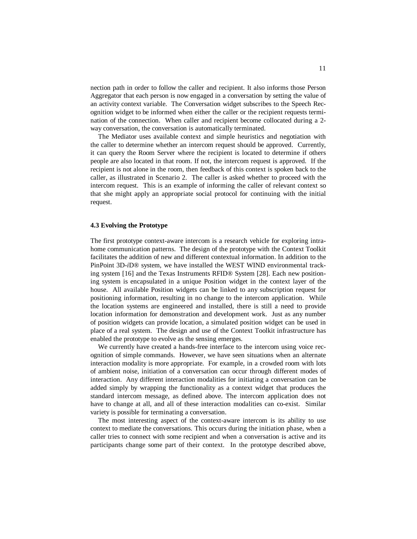nection path in order to follow the caller and recipient. It also informs those Person Aggregator that each person is now engaged in a conversation by setting the value of an activity context variable. The Conversation widget subscribes to the Speech Recognition widget to be informed when either the caller or the recipient requests termination of the connection. When caller and recipient become collocated during a 2 way conversation, the conversation is automatically terminated.

The Mediator uses available context and simple heuristics and negotiation with the caller to determine whether an intercom request should be approved. Currently, it can query the Room Server where the recipient is located to determine if others people are also located in that room. If not, the intercom request is approved. If the recipient is not alone in the room, then feedback of this context is spoken back to the caller, as illustrated in Scenario 2. The caller is asked whether to proceed with the intercom request. This is an example of informing the caller of relevant context so that she might apply an appropriate social protocol for continuing with the initial request.

### **4.3 Evolving the Prototype**

The first prototype context-aware intercom is a research vehicle for exploring intrahome communication patterns. The design of the prototype with the Context Toolkit facilitates the addition of new and different contextual information. In addition to the PinPoint 3D-*i*D® system, we have installed the WEST WIND environmental tracking system [16] and the Texas Instruments RFID® System [28]. Each new positioning system is encapsulated in a unique Position widget in the context layer of the house. All available Position widgets can be linked to any subscription request for positioning information, resulting in no change to the intercom application. While the location systems are engineered and installed, there is still a need to provide location information for demonstration and development work. Just as any number of position widgets can provide location, a simulated position widget can be used in place of a real system. The design and use of the Context Toolkit infrastructure has enabled the prototype to evolve as the sensing emerges.

We currently have created a hands-free interface to the intercom using voice recognition of simple commands. However, we have seen situations when an alternate interaction modality is more appropriate. For example, in a crowded room with lots of ambient noise, initiation of a conversation can occur through different modes of interaction. Any different interaction modalities for initiating a conversation can be added simply by wrapping the functionality as a context widget that produces the standard intercom message, as defined above. The intercom application does not have to change at all, and all of these interaction modalities can co-exist. Similar variety is possible for terminating a conversation.

The most interesting aspect of the context-aware intercom is its ability to use context to mediate the conversations. This occurs during the initiation phase, when a caller tries to connect with some recipient and when a conversation is active and its participants change some part of their context. In the prototype described above,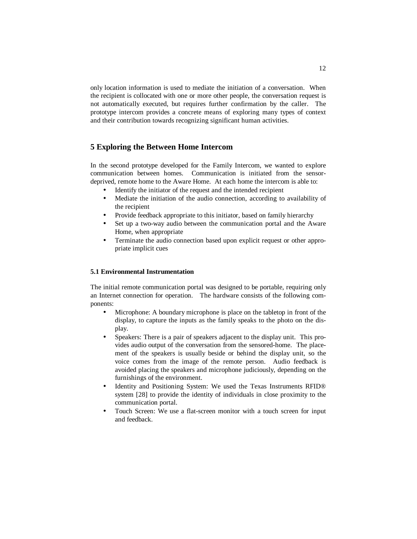only location information is used to mediate the initiation of a conversation. When the recipient is collocated with one or more other people, the conversation request is not automatically executed, but requires further confirmation by the caller. The prototype intercom provides a concrete means of exploring many types of context and their contribution towards recognizing significant human activities.

# **5 Exploring the Between Home Intercom**

In the second prototype developed for the Family Intercom, we wanted to explore communication between homes. Communication is initiated from the sensordeprived, remote home to the Aware Home. At each home the intercom is able to:

- Identify the initiator of the request and the intended recipient
- Mediate the initiation of the audio connection, according to availability of the recipient
- Provide feedback appropriate to this initiator, based on family hierarchy
- Set up a two-way audio between the communication portal and the Aware Home, when appropriate
- Terminate the audio connection based upon explicit request or other appropriate implicit cues

### **5.1 Environmental Instrumentation**

The initial remote communication portal was designed to be portable, requiring only an Internet connection for operation. The hardware consists of the following components:

- Microphone: A boundary microphone is place on the tabletop in front of the display, to capture the inputs as the family speaks to the photo on the display.
- Speakers: There is a pair of speakers adjacent to the display unit. This provides audio output of the conversation from the sensored-home. The placement of the speakers is usually beside or behind the display unit, so the voice comes from the image of the remote person. Audio feedback is avoided placing the speakers and microphone judiciously, depending on the furnishings of the environment.
- Identity and Positioning System: We used the Texas Instruments RFID® system [28] to provide the identity of individuals in close proximity to the communication portal.
- Touch Screen: We use a flat-screen monitor with a touch screen for input and feedback.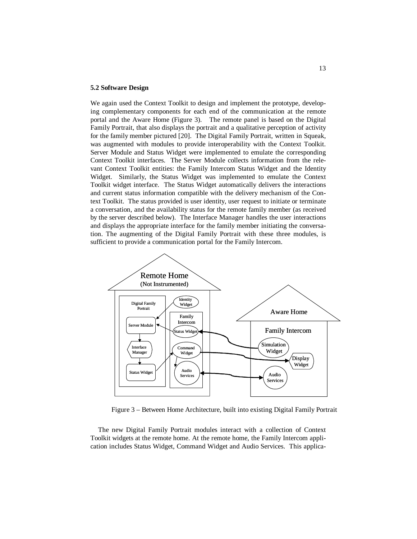#### **5.2 Software Design**

We again used the Context Toolkit to design and implement the prototype, developing complementary components for each end of the communication at the remote portal and the Aware Home (Figure 3). The remote panel is based on the Digital Family Portrait, that also displays the portrait and a qualitative perception of activity for the family member pictured [20]. The Digital Family Portrait, written in Squeak, was augmented with modules to provide interoperability with the Context Toolkit. Server Module and Status Widget were implemented to emulate the corresponding Context Toolkit interfaces. The Server Module collects information from the relevant Context Toolkit entities: the Family Intercom Status Widget and the Identity Widget. Similarly, the Status Widget was implemented to emulate the Context Toolkit widget interface. The Status Widget automatically delivers the interactions and current status information compatible with the delivery mechanism of the Context Toolkit. The status provided is user identity, user request to initiate or terminate a conversation, and the availability status for the remote family member (as received by the server described below). The Interface Manager handles the user interactions and displays the appropriate interface for the family member initiating the conversation. The augmenting of the Digital Family Portrait with these three modules, is sufficient to provide a communication portal for the Family Intercom.



Figure 3 – Between Home Architecture, built into existing Digital Family Portrait

The new Digital Family Portrait modules interact with a collection of Context Toolkit widgets at the remote home. At the remote home, the Family Intercom application includes Status Widget, Command Widget and Audio Services. This applica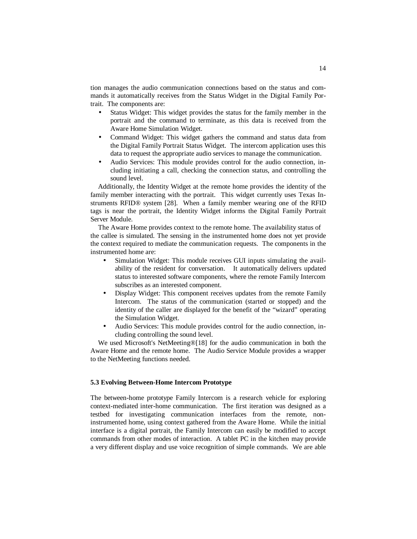tion manages the audio communication connections based on the status and commands it automatically receives from the Status Widget in the Digital Family Portrait. The components are:

- Status Widget: This widget provides the status for the family member in the portrait and the command to terminate, as this data is received from the Aware Home Simulation Widget.
- Command Widget: This widget gathers the command and status data from the Digital Family Portrait Status Widget. The intercom application uses this data to request the appropriate audio services to manage the communication.
- Audio Services: This module provides control for the audio connection, including initiating a call, checking the connection status, and controlling the sound level.

Additionally, the Identity Widget at the remote home provides the identity of the family member interacting with the portrait. This widget currently uses Texas Instruments RFID® system [28]. When a family member wearing one of the RFID tags is near the portrait, the Identity Widget informs the Digital Family Portrait Server Module.

The Aware Home provides context to the remote home. The availability status of the callee is simulated. The sensing in the instrumented home does not yet provide the context required to mediate the communication requests. The components in the instrumented home are:

- Simulation Widget: This module receives GUI inputs simulating the availability of the resident for conversation. It automatically delivers updated status to interested software components, where the remote Family Intercom subscribes as an interested component.
- Display Widget: This component receives updates from the remote Family Intercom. The status of the communication (started or stopped) and the identity of the caller are displayed for the benefit of the "wizard" operating the Simulation Widget.
- Audio Services: This module provides control for the audio connection, including controlling the sound level.

We used Microsoft's NetMeeting®[18] for the audio communication in both the Aware Home and the remote home. The Audio Service Module provides a wrapper to the NetMeeting functions needed.

### **5.3 Evolving Between-Home Intercom Prototype**

The between-home prototype Family Intercom is a research vehicle for exploring context-mediated inter-home communication. The first iteration was designed as a testbed for investigating communication interfaces from the remote, noninstrumented home, using context gathered from the Aware Home. While the initial interface is a digital portrait, the Family Intercom can easily be modified to accept commands from other modes of interaction. A tablet PC in the kitchen may provide a very different display and use voice recognition of simple commands. We are able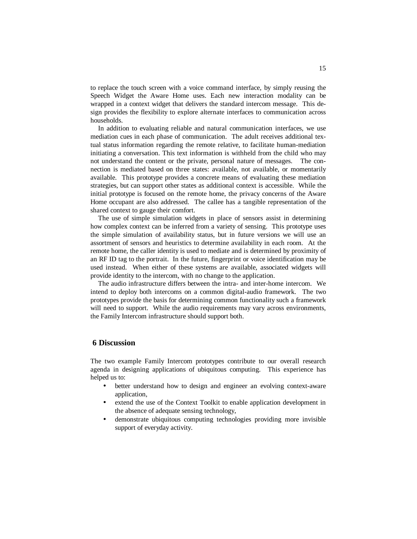to replace the touch screen with a voice command interface, by simply reusing the Speech Widget the Aware Home uses. Each new interaction modality can be wrapped in a context widget that delivers the standard intercom message. This design provides the flexibility to explore alternate interfaces to communication across households.

In addition to evaluating reliable and natural communication interfaces, we use mediation cues in each phase of communication. The adult receives additional textual status information regarding the remote relative, to facilitate human-mediation initiating a conversation. This text information is withheld from the child who may not understand the content or the private, personal nature of messages. The connection is mediated based on three states: available, not available, or momentarily available. This prototype provides a concrete means of evaluating these mediation strategies, but can support other states as additional context is accessible. While the initial prototype is focused on the remote home, the privacy concerns of the Aware Home occupant are also addressed. The callee has a tangible representation of the shared context to gauge their comfort.

The use of simple simulation widgets in place of sensors assist in determining how complex context can be inferred from a variety of sensing. This prototype uses the simple simulation of availability status, but in future versions we will use an assortment of sensors and heuristics to determine availability in each room. At the remote home, the caller identity is used to mediate and is determined by proximity of an RF ID tag to the portrait. In the future, fingerprint or voice identification may be used instead. When either of these systems are available, associated widgets will provide identity to the intercom, with no change to the application.

The audio infrastructure differs between the intra- and inter-home intercom. We intend to deploy both intercoms on a common digital-audio framework. The two prototypes provide the basis for determining common functionality such a framework will need to support. While the audio requirements may vary across environments, the Family Intercom infrastructure should support both.

### **6 Discussion**

The two example Family Intercom prototypes contribute to our overall research agenda in designing applications of ubiquitous computing. This experience has helped us to:

- better understand how to design and engineer an evolving context-aware application,
- extend the use of the Context Toolkit to enable application development in the absence of adequate sensing technology,
- demonstrate ubiquitous computing technologies providing more invisible support of everyday activity.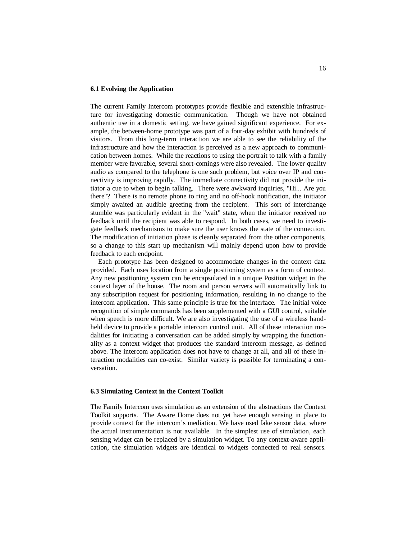### **6.1 Evolving the Application**

The current Family Intercom prototypes provide flexible and extensible infrastructure for investigating domestic communication. Though we have not obtained authentic use in a domestic setting, we have gained significant experience. For example, the between-home prototype was part of a four-day exhibit with hundreds of visitors. From this long-term interaction we are able to see the reliability of the infrastructure and how the interaction is perceived as a new approach to communication between homes. While the reactions to using the portrait to talk with a family member were favorable, several short-comings were also revealed. The lower quality audio as compared to the telephone is one such problem, but voice over IP and connectivity is improving rapidly. The immediate connectivity did not provide the initiator a cue to when to begin talking. There were awkward inquiries, "Hi... Are you there"? There is no remote phone to ring and no off-hook notification, the initiator simply awaited an audible greeting from the recipient. This sort of interchange stumble was particularly evident in the "wait" state, when the initiator received no feedback until the recipient was able to respond. In both cases, we need to investigate feedback mechanisms to make sure the user knows the state of the connection. The modification of initiation phase is cleanly separated from the other components, so a change to this start up mechanism will mainly depend upon how to provide feedback to each endpoint.

Each prototype has been designed to accommodate changes in the context data provided. Each uses location from a single positioning system as a form of context. Any new positioning system can be encapsulated in a unique Position widget in the context layer of the house. The room and person servers will automatically link to any subscription request for positioning information, resulting in no change to the intercom application. This same principle is true for the interface. The initial voice recognition of simple commands has been supplemented with a GUI control, suitable when speech is more difficult. We are also investigating the use of a wireless handheld device to provide a portable intercom control unit. All of these interaction modalities for initiating a conversation can be added simply by wrapping the functionality as a context widget that produces the standard intercom message, as defined above. The intercom application does not have to change at all, and all of these interaction modalities can co-exist. Similar variety is possible for terminating a conversation.

#### **6.3 Simulating Context in the Context Toolkit**

The Family Intercom uses simulation as an extension of the abstractions the Context Toolkit supports. The Aware Home does not yet have enough sensing in place to provide context for the intercom's mediation. We have used fake sensor data, where the actual instrumentation is not available. In the simplest use of simulation, each sensing widget can be replaced by a simulation widget. To any context-aware application, the simulation widgets are identical to widgets connected to real sensors.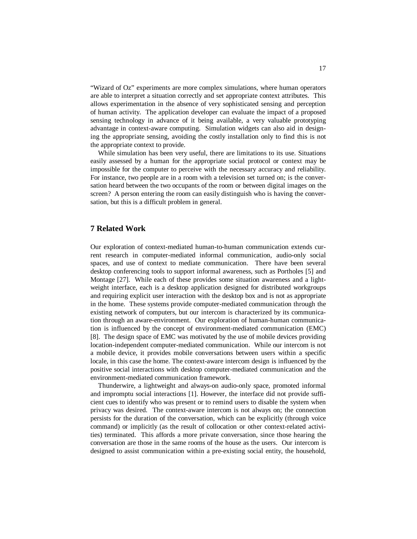"Wizard of Oz" experiments are more complex simulations, where human operators are able to interpret a situation correctly and set appropriate context attributes. This allows experimentation in the absence of very sophisticated sensing and perception of human activity. The application developer can evaluate the impact of a proposed sensing technology in advance of it being available, a very valuable prototyping advantage in context-aware computing. Simulation widgets can also aid in designing the appropriate sensing, avoiding the costly installation only to find this is not the appropriate context to provide.

While simulation has been very useful, there are limitations to its use. Situations easily assessed by a human for the appropriate social protocol or context may be impossible for the computer to perceive with the necessary accuracy and reliability. For instance, two people are in a room with a television set turned on; is the conversation heard between the two occupants of the room or between digital images on the screen? A person entering the room can easily distinguish who is having the conversation, but this is a difficult problem in general.

# **7 Related Work**

Our exploration of context-mediated human-to-human communication extends current research in computer-mediated informal communication, audio-only social spaces, and use of context to mediate communication. There have been several desktop conferencing tools to support informal awareness, such as Portholes [5] and Montage [27]. While each of these provides some situation awareness and a lightweight interface, each is a desktop application designed for distributed workgroups and requiring explicit user interaction with the desktop box and is not as appropriate in the home. These systems provide computer-mediated communication through the existing network of computers, but our intercom is characterized by its communication through an aware-environment. Our exploration of human-human communication is influenced by the concept of environment-mediated communication (EMC) [8]. The design space of EMC was motivated by the use of mobile devices providing location-independent computer-mediated communication. While our intercom is not a mobile device, it provides mobile conversations between users within a specific locale, in this case the home. The context-aware intercom design is influenced by the positive social interactions with desktop computer-mediated communication and the environment-mediated communication framework.

Thunderwire, a lightweight and always-on audio-only space, promoted informal and impromptu social interactions [1]. However, the interface did not provide sufficient cues to identify who was present or to remind users to disable the system when privacy was desired. The context-aware intercom is not always on; the connection persists for the duration of the conversation, which can be explicitly (through voice command) or implicitly (as the result of collocation or other context-related activities) terminated. This affords a more private conversation, since those hearing the conversation are those in the same rooms of the house as the users. Our intercom is designed to assist communication within a pre-existing social entity, the household,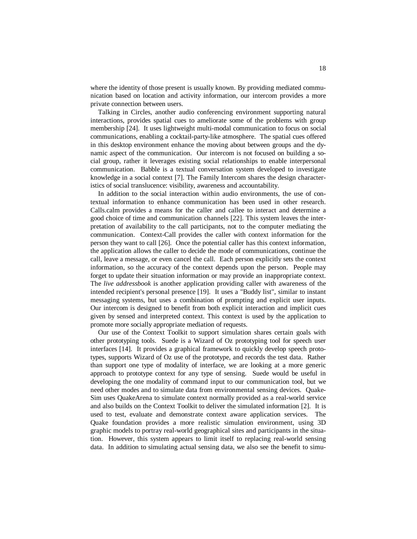where the identity of those present is usually known. By providing mediated communication based on location and activity information, our intercom provides a more private connection between users.

Talking in Circles, another audio conferencing environment supporting natural interactions, provides spatial cues to ameliorate some of the problems with group membership [24]. It uses lightweight multi-modal communication to focus on social communications, enabling a cocktail-party-like atmosphere. The spatial cues offered in this desktop environment enhance the moving about between groups and the dynamic aspect of the communication. Our intercom is not focused on building a social group, rather it leverages existing social relationships to enable interpersonal communication. Babble is a textual conversation system developed to investigate knowledge in a social context [7]. The Family Intercom shares the design characteristics of social translucence: visibility, awareness and accountability.

In addition to the social interaction within audio environments, the use of contextual information to enhance communication has been used in other research. Calls.calm provides a means for the caller and callee to interact and determine a good choice of time and communication channels [22]. This system leaves the interpretation of availability to the call participants, not to the computer mediating the communication. Context-Call provides the caller with context information for the person they want to call [26]. Once the potential caller has this context information, the application allows the caller to decide the mode of communications, continue the call, leave a message, or even cancel the call. Each person explicitly sets the context information, so the accuracy of the context depends upon the person. People may forget to update their situation information or may provide an inappropriate context. The *live addressbook* is another application providing caller with awareness of the intended recipient's personal presence [19]. It uses a "Buddy list", similar to instant messaging systems, but uses a combination of prompting and explicit user inputs. Our intercom is designed to benefit from both explicit interaction and implicit cues given by sensed and interpreted context. This context is used by the application to promote more socially appropriate mediation of requests.

Our use of the Context Toolkit to support simulation shares certain goals with other prototyping tools. Suede is a Wizard of Oz prototyping tool for speech user interfaces [14]. It provides a graphical framework to quickly develop speech prototypes, supports Wizard of Oz use of the prototype, and records the test data. Rather than support one type of modality of interface, we are looking at a more generic approach to prototype context for any type of sensing. Suede would be useful in developing the one modality of command input to our communication tool, but we need other modes and to simulate data from environmental sensing devices. Quake-Sim uses QuakeArena to simulate context normally provided as a real-world service and also builds on the Context Toolkit to deliver the simulated information [2]. It is used to test, evaluate and demonstrate context aware application services. The Quake foundation provides a more realistic simulation environment, using 3D graphic models to portray real-world geographical sites and participants in the situation. However, this system appears to limit itself to replacing real-world sensing data. In addition to simulating actual sensing data, we also see the benefit to simu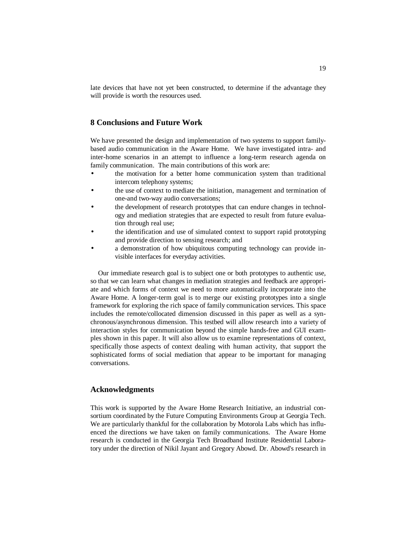late devices that have not yet been constructed, to determine if the advantage they will provide is worth the resources used.

# **8 Conclusions and Future Work**

We have presented the design and implementation of two systems to support familybased audio communication in the Aware Home. We have investigated intra- and inter-home scenarios in an attempt to influence a long-term research agenda on family communication. The main contributions of this work are:

- the motivation for a better home communication system than traditional intercom telephony systems;
- the use of context to mediate the initiation, management and termination of one-and two-way audio conversations;
- the development of research prototypes that can endure changes in technology and mediation strategies that are expected to result from future evaluation through real use;
- the identification and use of simulated context to support rapid prototyping and provide direction to sensing research; and
- a demonstration of how ubiquitous computing technology can provide invisible interfaces for everyday activities.

Our immediate research goal is to subject one or both prototypes to authentic use, so that we can learn what changes in mediation strategies and feedback are appropriate and which forms of context we need to more automatically incorporate into the Aware Home. A longer-term goal is to merge our existing prototypes into a single framework for exploring the rich space of family communication services. This space includes the remote/collocated dimension discussed in this paper as well as a synchronous/asynchronous dimension. This testbed will allow research into a variety of interaction styles for communication beyond the simple hands-free and GUI examples shown in this paper. It will also allow us to examine representations of context, specifically those aspects of context dealing with human activity, that support the sophisticated forms of social mediation that appear to be important for managing conversations.

### **Acknowledgments**

This work is supported by the Aware Home Research Initiative, an industrial consortium coordinated by the Future Computing Environments Group at Georgia Tech. We are particularly thankful for the collaboration by Motorola Labs which has influenced the directions we have taken on family communications. The Aware Home research is conducted in the Georgia Tech Broadband Institute Residential Laboratory under the direction of Nikil Jayant and Gregory Abowd. Dr. Abowd's research in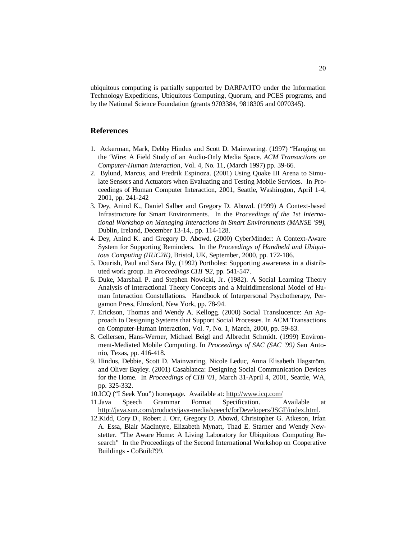ubiquitous computing is partially supported by DARPA/ITO under the Information Technology Expeditions, Ubiquitous Computing, Quorum, and PCES programs, and by the National Science Foundation (grants 9703384, 9818305 and 0070345).

### **References**

- 1. Ackerman, Mark, Debby Hindus and Scott D. Mainwaring. (1997) "Hanging on the 'Wire: A Field Study of an Audio-Only Media Space. *ACM Transactions on Computer-Human Interaction*, Vol. 4, No. 11, (March 1997) pp. 39-66.
- 2. Bylund, Marcus, and Fredrik Espinoza. (2001) Using Quake III Arena to Simulate Sensors and Actuators when Evaluating and Testing Mobile Services. In Proceedings of Human Computer Interaction, 2001, Seattle, Washington, April 1-4, 2001, pp. 241-242
- 3. Dey, Anind K., Daniel Salber and Gregory D. Abowd. (1999) A Context-based Infrastructure for Smart Environments. In the *Proceedings of the 1st International Workshop on Managing Interactions in Smart Environments (MANSE '99)*, Dublin, Ireland, December 13-14,. pp. 114-128.
- 4. Dey, Anind K. and Gregory D. Abowd. (2000) CyberMinder: A Context-Aware System for Supporting Reminders. In the *Proceedings of Handheld and Ubiquitous Computing (HUC2K)*, Bristol, UK, September, 2000, pp. 172-186.
- 5. Dourish, Paul and Sara Bly, (1992) Portholes: Supporting awareness in a distributed work group. In *Proceedings CHI '92*, pp. 541-547.
- 6. Duke, Marshall P. and Stephen Nowicki, Jr. (1982). A Social Learning Theory Analysis of Interactional Theory Concepts and a Multidimensional Model of Human Interaction Constellations. Handbook of Interpersonal Psychotherapy, Pergamon Press, Elmsford, New York, pp. 78-94.
- 7. Erickson, Thomas and Wendy A. Kellogg. (2000) Social Translucence: An Approach to Designing Systems that Support Social Processes. In ACM Transactions on Computer-Human Interaction, Vol. 7, No. 1, March, 2000, pp. 59-83.
- 8. Gellersen, Hans-Werner, Michael Beigl and Albrecht Schmidt. (1999) Environment-Mediated Mobile Computing. In *Proceedings of SAC (SAC '99)* San Antonio, Texas, pp. 416-418.
- 9. Hindus, Debbie, Scott D. Mainwaring, Nicole Leduc, Anna Elisabeth Hagström, and Oliver Bayley. (2001) Casablanca: Designing Social Communication Devices for the Home. In *Proceedings of CHI '01*, March 31-April 4, 2001, Seattle, WA, pp. 325-332.
- 10.ICQ ("I Seek You") homepage. Available at: http://www.icq.com/
- 11.Java Speech Grammar Format Specification. Available at http://java.sun.com/products/java-media/speech/forDevelopers/JSGF/index.html.
- 12.Kidd, Cory D., Robert J. Orr, Gregory D. Abowd, Christopher G. Atkeson, Irfan A. Essa, Blair MacIntyre, Elizabeth Mynatt, Thad E. Starner and Wendy Newstetter. "The Aware Home: A Living Laboratory for Ubiquitous Computing Research" In the Proceedings of the Second International Workshop on Cooperative Buildings - CoBuild'99.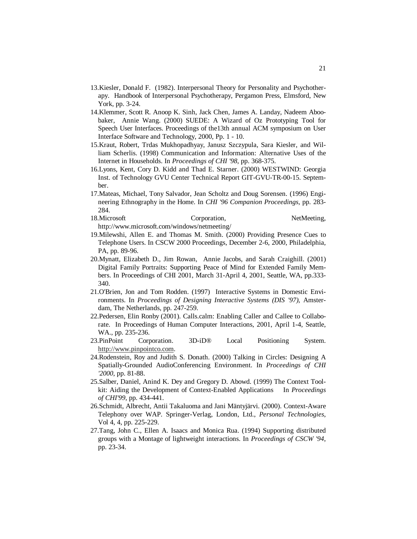- 13.Kiesler, Donald F. (1982). Interpersonal Theory for Personality and Psychotherapy. Handbook of Interpersonal Psychotherapy, Pergamon Press, Elmsford, New York, pp. 3-24.
- 14.Klemmer, Scott R. Anoop K. Sinh, Jack Chen, James A. Landay, Nadeem Aboobaker, Annie Wang. (2000) SUEDE: A Wizard of Oz Prototyping Tool for Speech User Interfaces. Proceedings of the13th annual ACM symposium on User Interface Software and Technology, 2000, Pp. 1 - 10.
- 15.Kraut, Robert, Trdas Mukhopadhyay, Janusz Szczypula, Sara Kiesler, and William Scherlis. (1998) Communication and Information: Alternative Uses of the Internet in Households. In *Proceedings of CHI '98*, pp. 368-375.
- 16.Lyons, Kent, Cory D. Kidd and Thad E. Starner. (2000) WESTWIND: Georgia Inst. of Technology GVU Center Technical Report GIT-GVU-TR-00-15. September.
- 17.Mateas, Michael, Tony Salvador, Jean Scholtz and Doug Sorensen. (1996) Engineering Ethnography in the Home. In *CHI '96 Companion Proceedings*, pp. 283- 284.
- 18. Microsoft Corporation, NetMeeting, http://www.microsoft.com/windows/netmeeting/
- 19.Milewshi, Allen E. and Thomas M. Smith. (2000) Providing Presence Cues to Telephone Users. In CSCW 2000 Proceedings, December 2-6, 2000, Philadelphia, PA, pp. 89-96.
- 20.Mynatt, Elizabeth D., Jim Rowan, Annie Jacobs, and Sarah Craighill. (2001) Digital Family Portraits: Supporting Peace of Mind for Extended Family Members. In Proceedings of CHI 2001, March 31-April 4, 2001, Seattle, WA, pp.333- 340.
- 21.O'Brien, Jon and Tom Rodden. (1997) Interactive Systems in Domestic Environments. In *Proceedings of Designing Interactive Systems (DIS '97)*, Amsterdam, The Netherlands, pp. 247-259.
- 22.Pedersen, Elin Ronby (2001). Calls.calm: Enabling Caller and Callee to Collaborate. In Proceedings of Human Computer Interactions, 2001, April 1-4, Seattle, WA., pp. 235-236.
- 23.PinPoint Corporation. 3D-iD® Local Positioning System. http://www.pinpointco.com.
- 24.Rodenstein, Roy and Judith S. Donath. (2000) Talking in Circles: Designing A Spatially-Grounded AudioConferencing Environment. In *Proceedings of CHI '2000*, pp. 81-88.
- 25.Salber, Daniel, Anind K. Dey and Gregory D. Abowd. (1999) The Context Toolkit: Aiding the Development of Context-Enabled Applications In *Proceedings of CHI'99*, pp. 434-441.
- 26.Schmidt, Albrecht, Antii Takaluoma and Jani Mäntyjärvi. (2000). Context-Aware Telephony over WAP. Springer-Verlag, London, Ltd., *Personal Technologies*, Vol 4, 4, pp. 225-229.
- 27.Tang, John C., Ellen A. Isaacs and Monica Rua. (1994) Supporting distributed groups with a Montage of lightweight interactions. In *Proceedings of CSCW '94*, pp. 23-34.